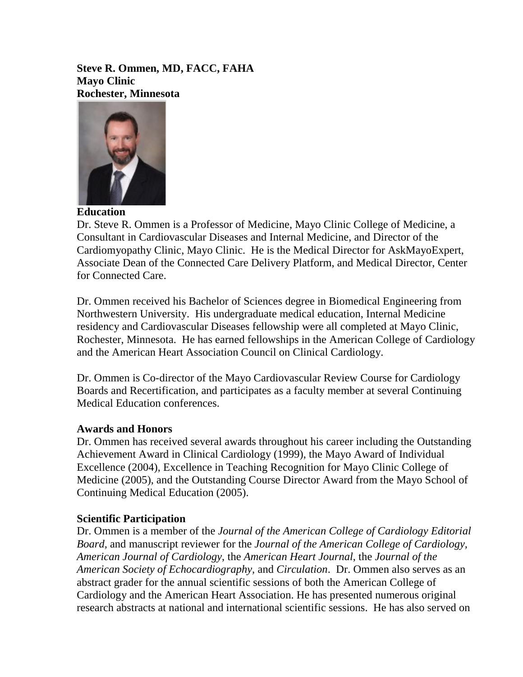**Steve R. Ommen, MD, FACC, FAHA Mayo Clinic Rochester, Minnesota**



**Education**

Dr. Steve R. Ommen is a Professor of Medicine, Mayo Clinic College of Medicine, a Consultant in Cardiovascular Diseases and Internal Medicine, and Director of the Cardiomyopathy Clinic, Mayo Clinic. He is the Medical Director for AskMayoExpert, Associate Dean of the Connected Care Delivery Platform, and Medical Director, Center for Connected Care.

Dr. Ommen received his Bachelor of Sciences degree in Biomedical Engineering from Northwestern University. His undergraduate medical education, Internal Medicine residency and Cardiovascular Diseases fellowship were all completed at Mayo Clinic, Rochester, Minnesota. He has earned fellowships in the American College of Cardiology and the American Heart Association Council on Clinical Cardiology.

Dr. Ommen is Co-director of the Mayo Cardiovascular Review Course for Cardiology Boards and Recertification, and participates as a faculty member at several Continuing Medical Education conferences.

## **Awards and Honors**

Dr. Ommen has received several awards throughout his career including the Outstanding Achievement Award in Clinical Cardiology (1999), the Mayo Award of Individual Excellence (2004), Excellence in Teaching Recognition for Mayo Clinic College of Medicine (2005), and the Outstanding Course Director Award from the Mayo School of Continuing Medical Education (2005).

## **Scientific Participation**

Dr. Ommen is a member of the *Journal of the American College of Cardiology Editorial Board,* and manuscript reviewer for the *Journal of the American College of Cardiology, American Journal of Cardiology*, the *American Heart Journal*, the *Journal of the American Society of Echocardiography,* and *Circulation*. Dr. Ommen also serves as an abstract grader for the annual scientific sessions of both the American College of Cardiology and the American Heart Association. He has presented numerous original research abstracts at national and international scientific sessions. He has also served on